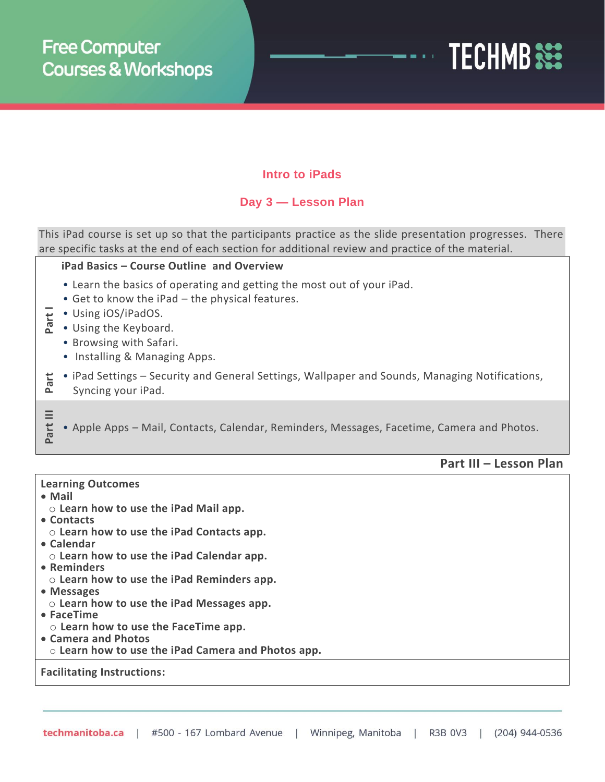

## **Intro to iPads**

## **Day 3 — Lesson Plan**

This iPad course is set up so that the participants practice as the slide presentation progresses. There are specific tasks at the end of each section for additional review and practice of the material.

#### **iPad Basics – Course Outline and Overview**

- Learn the basics of operating and getting the most out of your iPad.
- Get to know the iPad the physical features.
- **Part I** • Using iOS/iPadOS.
	- Using the Keyboard.
		- Browsing with Safari.
		- Installing & Managing Apps.
- **Part**  • iPad Settings – Security and General Settings, Wallpaper and Sounds, Managing Notifications,
	- Syncing your iPad.

• Apple Apps – Mail, Contacts, Calendar, Reminders, Messages, Facetime, Camera and Photos.

### **Part III – Lesson Plan**

#### **Learning Outcomes**

• **Mail**

**Part III**

- o **Learn how to use the iPad Mail app.**
- **Contacts**
- o **Learn how to use the iPad Contacts app.**
- **Calendar**
- o **Learn how to use the iPad Calendar app.**
- **Reminders**
- o **Learn how to use the iPad Reminders app.**
- **Messages**
- o **Learn how to use the iPad Messages app.**
- **FaceTime**
- o **Learn how to use the FaceTime app.**
- **Camera and Photos**
- o **Learn how to use the iPad Camera and Photos app.**

### **Facilitating Instructions:**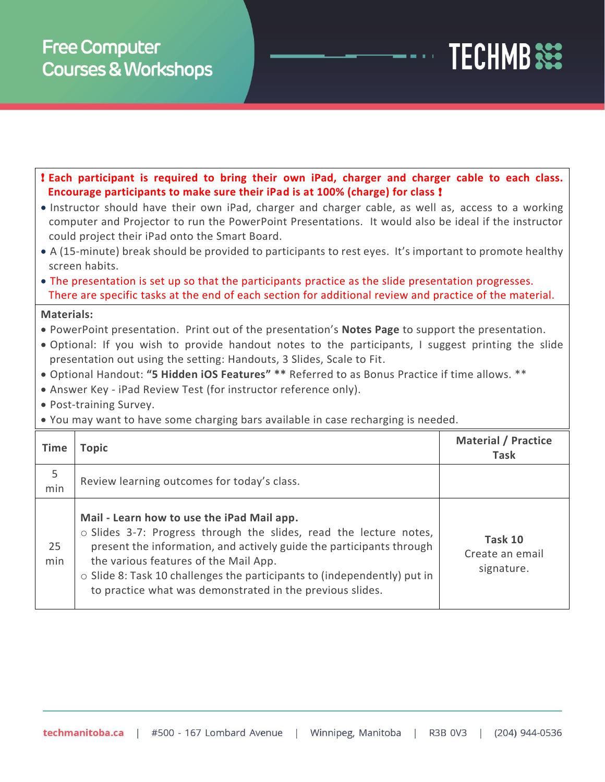# **Free Computer Courses & Workshops**

|                   | ! Each participant is required to bring their own iPad, charger and charger cable to each class.<br>Encourage participants to make sure their iPad is at 100% (charge) for class!                                                                                                                                                                                                                                                                                                                                                                                        |                                           |
|-------------------|--------------------------------------------------------------------------------------------------------------------------------------------------------------------------------------------------------------------------------------------------------------------------------------------------------------------------------------------------------------------------------------------------------------------------------------------------------------------------------------------------------------------------------------------------------------------------|-------------------------------------------|
|                   | • Instructor should have their own iPad, charger and charger cable, as well as, access to a working<br>computer and Projector to run the PowerPoint Presentations. It would also be ideal if the instructor<br>could project their iPad onto the Smart Board.                                                                                                                                                                                                                                                                                                            |                                           |
|                   | • A (15-minute) break should be provided to participants to rest eyes. It's important to promote healthy<br>screen habits.                                                                                                                                                                                                                                                                                                                                                                                                                                               |                                           |
|                   | • The presentation is set up so that the participants practice as the slide presentation progresses.<br>There are specific tasks at the end of each section for additional review and practice of the material.                                                                                                                                                                                                                                                                                                                                                          |                                           |
| <b>Materials:</b> | . PowerPoint presentation. Print out of the presentation's Notes Page to support the presentation.<br>. Optional: If you wish to provide handout notes to the participants, I suggest printing the slide<br>presentation out using the setting: Handouts, 3 Slides, Scale to Fit.<br>• Optional Handout: "5 Hidden iOS Features" ** Referred to as Bonus Practice if time allows. **<br>• Answer Key - iPad Review Test (for instructor reference only).<br>• Post-training Survey.<br>. You may want to have some charging bars available in case recharging is needed. |                                           |
| <b>Time</b>       | <b>Topic</b>                                                                                                                                                                                                                                                                                                                                                                                                                                                                                                                                                             | <b>Material / Practice</b><br><b>Task</b> |
| 5<br>min          | Review learning outcomes for today's class.                                                                                                                                                                                                                                                                                                                                                                                                                                                                                                                              |                                           |
| 25<br>min         | Mail - Learn how to use the iPad Mail app.<br>o Slides 3-7: Progress through the slides, read the lecture notes,<br>present the information, and actively guide the participants through<br>the various features of the Mail App.                                                                                                                                                                                                                                                                                                                                        | Task 10<br>Create an email                |

**TECHMB** 333

signature.

o Slide 8: Task 10 challenges the participants to (independently) put in

to practice what was demonstrated in the previous slides.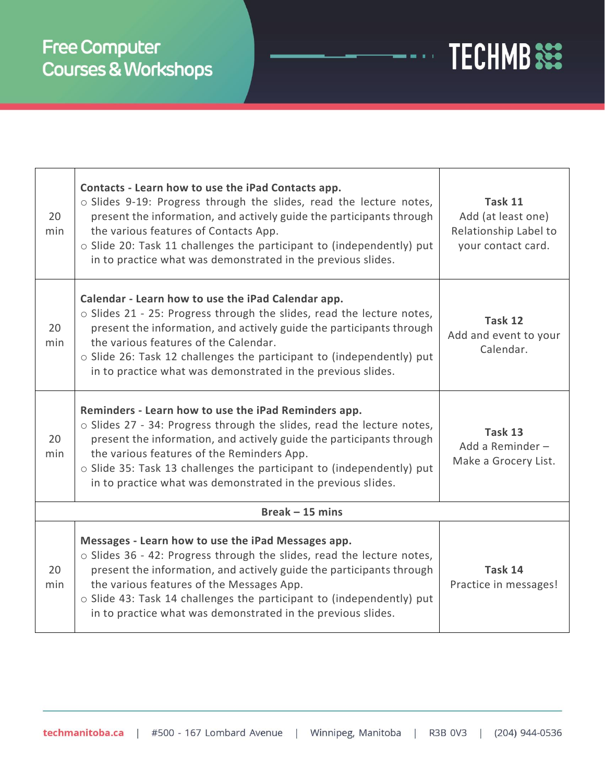# **Free Computer** Courses & Workshops

| 20<br>min | Contacts - Learn how to use the iPad Contacts app.<br>o Slides 9-19: Progress through the slides, read the lecture notes,<br>present the information, and actively guide the participants through<br>the various features of Contacts App.<br>o Slide 20: Task 11 challenges the participant to (independently) put<br>in to practice what was demonstrated in the previous slides.           | Task 11<br>Add (at least one)<br>Relationship Label to<br>your contact card. |
|-----------|-----------------------------------------------------------------------------------------------------------------------------------------------------------------------------------------------------------------------------------------------------------------------------------------------------------------------------------------------------------------------------------------------|------------------------------------------------------------------------------|
| 20<br>min | Calendar - Learn how to use the iPad Calendar app.<br>o Slides 21 - 25: Progress through the slides, read the lecture notes,<br>present the information, and actively guide the participants through<br>the various features of the Calendar.<br>o Slide 26: Task 12 challenges the participant to (independently) put<br>in to practice what was demonstrated in the previous slides.        | Task 12<br>Add and event to your<br>Calendar.                                |
| 20<br>min | Reminders - Learn how to use the iPad Reminders app.<br>o Slides 27 - 34: Progress through the slides, read the lecture notes,<br>present the information, and actively guide the participants through<br>the various features of the Reminders App.<br>o Slide 35: Task 13 challenges the participant to (independently) put<br>in to practice what was demonstrated in the previous slides. | Task 13<br>Add a Reminder-<br>Make a Grocery List.                           |
|           | $Break -15 mins$                                                                                                                                                                                                                                                                                                                                                                              |                                                                              |
| 20<br>min | Messages - Learn how to use the iPad Messages app.<br>o Slides 36 - 42: Progress through the slides, read the lecture notes,<br>present the information, and actively guide the participants through<br>the various features of the Messages App.<br>o Slide 43: Task 14 challenges the participant to (independently) put<br>in to practice what was demonstrated in the previous slides.    | Task 14<br>Practice in messages!                                             |

**TECHMB SEE** 

 $\frac{1}{2}$  and  $\frac{1}{2}$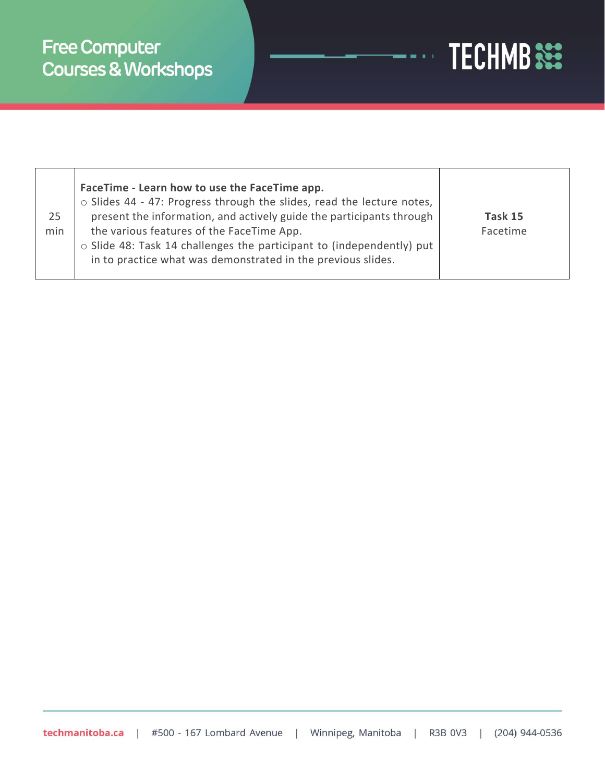

| 25<br>min | FaceTime - Learn how to use the FaceTime app.<br>o Slides 44 - 47: Progress through the slides, read the lecture notes,<br>present the information, and actively guide the participants through<br>the various features of the FaceTime App.<br>$\circ$ Slide 48: Task 14 challenges the participant to (independently) put<br>in to practice what was demonstrated in the previous slides. | Task 15<br>Facetime |
|-----------|---------------------------------------------------------------------------------------------------------------------------------------------------------------------------------------------------------------------------------------------------------------------------------------------------------------------------------------------------------------------------------------------|---------------------|
|-----------|---------------------------------------------------------------------------------------------------------------------------------------------------------------------------------------------------------------------------------------------------------------------------------------------------------------------------------------------------------------------------------------------|---------------------|